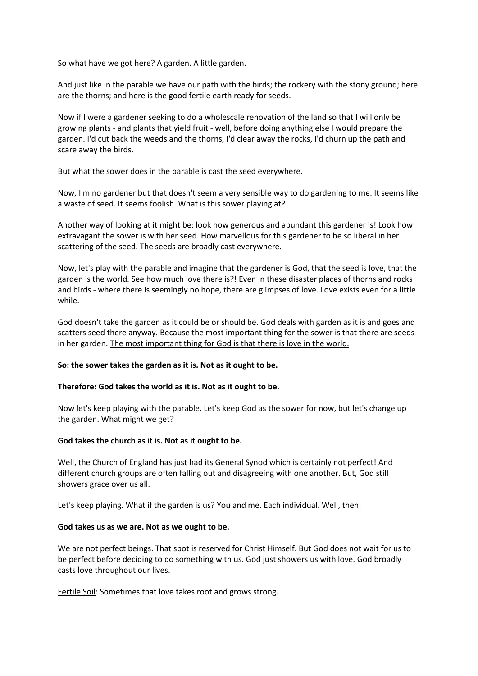So what have we got here? A garden. A little garden.

And just like in the parable we have our path with the birds; the rockery with the stony ground; here are the thorns; and here is the good fertile earth ready for seeds.

Now if I were a gardener seeking to do a wholescale renovation of the land so that I will only be growing plants - and plants that yield fruit - well, before doing anything else I would prepare the garden. I'd cut back the weeds and the thorns, I'd clear away the rocks, I'd churn up the path and scare away the birds.

But what the sower does in the parable is cast the seed everywhere.

Now, I'm no gardener but that doesn't seem a very sensible way to do gardening to me. It seems like a waste of seed. It seems foolish. What is this sower playing at?

Another way of looking at it might be: look how generous and abundant this gardener is! Look how extravagant the sower is with her seed. How marvellous for this gardener to be so liberal in her scattering of the seed. The seeds are broadly cast everywhere.

Now, let's play with the parable and imagine that the gardener is God, that the seed is love, that the garden is the world. See how much love there is?! Even in these disaster places of thorns and rocks and birds - where there is seemingly no hope, there are glimpses of love. Love exists even for a little while.

God doesn't take the garden as it could be or should be. God deals with garden as it is and goes and scatters seed there anyway. Because the most important thing for the sower is that there are seeds in her garden. The most important thing for God is that there is love in the world.

## **So: the sower takes the garden as it is. Not as it ought to be.**

## **Therefore: God takes the world as it is. Not as it ought to be.**

Now let's keep playing with the parable. Let's keep God as the sower for now, but let's change up the garden. What might we get?

## **God takes the church as it is. Not as it ought to be.**

Well, the Church of England has just had its General Synod which is certainly not perfect! And different church groups are often falling out and disagreeing with one another. But, God still showers grace over us all.

Let's keep playing. What if the garden is us? You and me. Each individual. Well, then:

## **God takes us as we are. Not as we ought to be.**

We are not perfect beings. That spot is reserved for Christ Himself. But God does not wait for us to be perfect before deciding to do something with us. God just showers us with love. God broadly casts love throughout our lives.

Fertile Soil: Sometimes that love takes root and grows strong.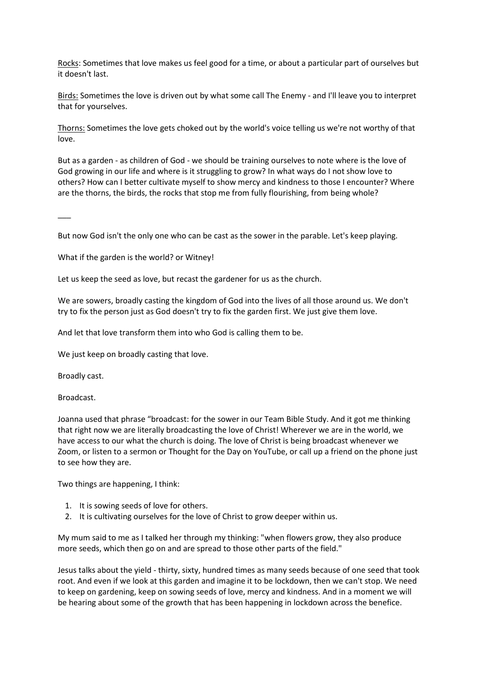Rocks: Sometimes that love makes us feel good for a time, or about a particular part of ourselves but it doesn't last.

Birds: Sometimes the love is driven out by what some call The Enemy - and I'll leave you to interpret that for yourselves.

Thorns: Sometimes the love gets choked out by the world's voice telling us we're not worthy of that love.

But as a garden - as children of God - we should be training ourselves to note where is the love of God growing in our life and where is it struggling to grow? In what ways do I not show love to others? How can I better cultivate myself to show mercy and kindness to those I encounter? Where are the thorns, the birds, the rocks that stop me from fully flourishing, from being whole?

 $\overline{\phantom{a}}$ 

But now God isn't the only one who can be cast as the sower in the parable. Let's keep playing.

What if the garden is the world? or Witney!

Let us keep the seed as love, but recast the gardener for us as the church.

We are sowers, broadly casting the kingdom of God into the lives of all those around us. We don't try to fix the person just as God doesn't try to fix the garden first. We just give them love.

And let that love transform them into who God is calling them to be.

We just keep on broadly casting that love.

Broadly cast.

Broadcast.

Joanna used that phrase "broadcast: for the sower in our Team Bible Study. And it got me thinking that right now we are literally broadcasting the love of Christ! Wherever we are in the world, we have access to our what the church is doing. The love of Christ is being broadcast whenever we Zoom, or listen to a sermon or Thought for the Day on YouTube, or call up a friend on the phone just to see how they are.

Two things are happening, I think:

- 1. It is sowing seeds of love for others.
- 2. It is cultivating ourselves for the love of Christ to grow deeper within us.

My mum said to me as I talked her through my thinking: "when flowers grow, they also produce more seeds, which then go on and are spread to those other parts of the field."

Jesus talks about the yield - thirty, sixty, hundred times as many seeds because of one seed that took root. And even if we look at this garden and imagine it to be lockdown, then we can't stop. We need to keep on gardening, keep on sowing seeds of love, mercy and kindness. And in a moment we will be hearing about some of the growth that has been happening in lockdown across the benefice.